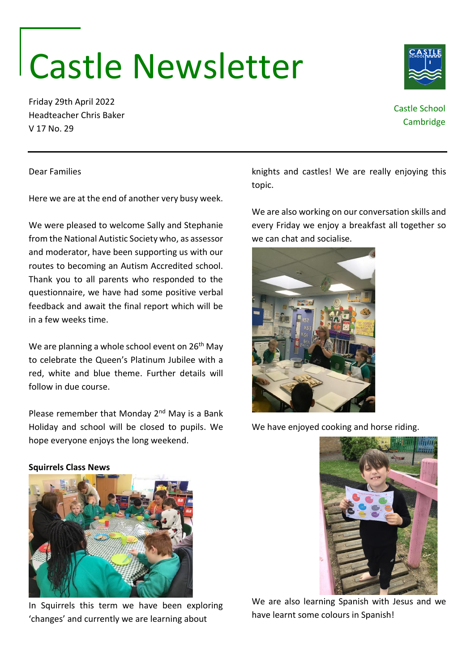# Castle Newsletter

Friday 29th April 2022 Headteacher Chris Baker V 17 No. 29

Dear Families

knights and castles! We are really enjoying this topic.

We are also working on our conversation skills and every Friday we enjoy a breakfast all together so we can chat and socialise.

and moderator, have been supporting us with our routes to becoming an Autism Accredited school.

in a few weeks time.

follow in due course.

In Squirrels this term we have been exploring 'changes' and currently we are learning about

We are also learning Spanish with Jesus and we have learnt some colours in Spanish!





Here we are at the end of another very busy week.

We were pleased to welcome Sally and Stephanie from the National Autistic Society who, as assessor

Thank you to all parents who responded to the questionnaire, we have had some positive verbal feedback and await the final report which will be

We are planning a whole school event on 26<sup>th</sup> May to celebrate the Queen's Platinum Jubilee with a red, white and blue theme. Further details will